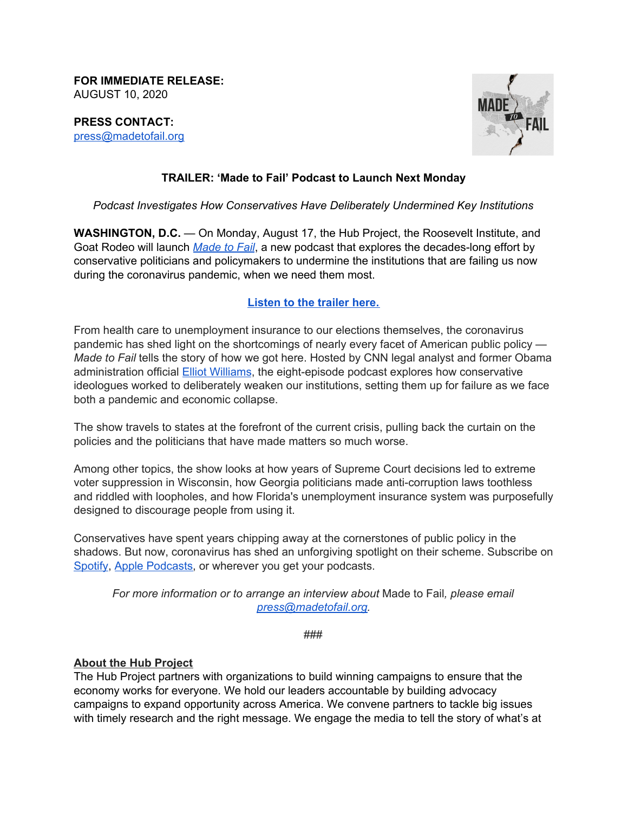**FOR IMMEDIATE RELEASE:** AUGUST 10, 2020

**PRESS CONTACT:** [press@madetofail.org](mailto:press@madetofail.org)



# **TRAILER: 'Made to Fail' Podcast to Launch Next Monday**

#### *Podcast Investigates How Conservatives Have Deliberately Undermined Key Institutions*

**WASHINGTON, D.C.** — On Monday, August 17, the Hub Project, the Roosevelt Institute, and Goat Rodeo will launch *[Made](https://www.madetofail.org/) to Fail*, a new podcast that explores the decades-long effort by conservative politicians and policymakers to undermine the institutions that are failing us now during the coronavirus pandemic, when we need them most.

#### **[Listen](https://www.madetofail.org/) to the trailer here.**

From health care to unemployment insurance to our elections themselves, the coronavirus pandemic has shed light on the shortcomings of nearly every facet of American public policy — *Made to Fail* tells the story of how we got here. Hosted by CNN legal analyst and former Obama administration official **Elliot [Williams](https://rabengroup.com/people/elliot-williams/)**, the eight-episode podcast explores how conservative ideologues worked to deliberately weaken our institutions, setting them up for failure as we face both a pandemic and economic collapse.

The show travels to states at the forefront of the current crisis, pulling back the curtain on the policies and the politicians that have made matters so much worse.

Among other topics, the show looks at how years of Supreme Court decisions led to extreme voter suppression in Wisconsin, how Georgia politicians made anti-corruption laws toothless and riddled with loopholes, and how Florida's unemployment insurance system was purposefully designed to discourage people from using it.

Conservatives have spent years chipping away at the cornerstones of public policy in the shadows. But now, coronavirus has shed an unforgiving spotlight on their scheme. Subscribe on [Spotify,](https://open.spotify.com/show/3LsR8cULQx6OekByXNPXHy) Apple [Podcasts](https://podcasts.apple.com/us/podcast/made-to-fail/id1524654851), or wherever you get your podcasts.

*For more information or to arrange an interview about* Made to Fail*, please email [press@madetofail.org](mailto:press@madetofail.org).*

###

#### **About the Hub Project**

The Hub Project partners with organizations to build winning campaigns to ensure that the economy works for everyone. We hold our leaders accountable by building advocacy campaigns to expand opportunity across America. We convene partners to tackle big issues with timely research and the right message. We engage the media to tell the story of what's at